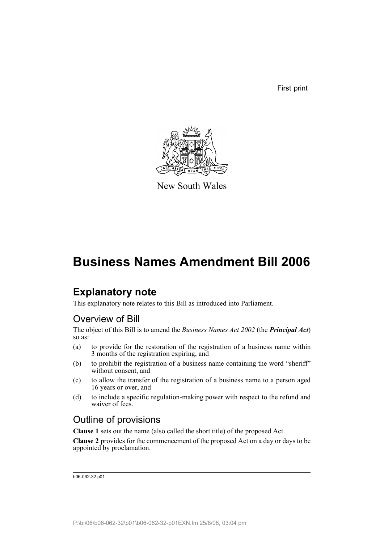First print



New South Wales

## **Business Names Amendment Bill 2006**

### **Explanatory note**

This explanatory note relates to this Bill as introduced into Parliament.

### Overview of Bill

The object of this Bill is to amend the *Business Names Act 2002* (the *Principal Act*) so as:

- (a) to provide for the restoration of the registration of a business name within 3 months of the registration expiring, and
- (b) to prohibit the registration of a business name containing the word "sheriff" without consent, and
- (c) to allow the transfer of the registration of a business name to a person aged 16 years or over, and
- (d) to include a specific regulation-making power with respect to the refund and waiver of fees.

### Outline of provisions

**Clause 1** sets out the name (also called the short title) of the proposed Act.

**Clause 2** provides for the commencement of the proposed Act on a day or days to be appointed by proclamation.

b06-062-32.p01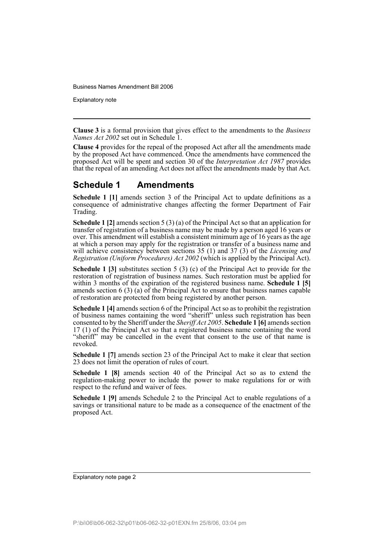Explanatory note

**Clause 3** is a formal provision that gives effect to the amendments to the *Business Names Act 2002* set out in Schedule 1.

**Clause 4** provides for the repeal of the proposed Act after all the amendments made by the proposed Act have commenced. Once the amendments have commenced the proposed Act will be spent and section 30 of the *Interpretation Act 1987* provides that the repeal of an amending Act does not affect the amendments made by that Act.

#### **Schedule 1 Amendments**

**Schedule 1 [1]** amends section 3 of the Principal Act to update definitions as a consequence of administrative changes affecting the former Department of Fair Trading.

**Schedule 1 [2]** amends section 5 (3) (a) of the Principal Act so that an application for transfer of registration of a business name may be made by a person aged 16 years or over. This amendment will establish a consistent minimum age of 16 years as the age at which a person may apply for the registration or transfer of a business name and will achieve consistency between sections 35 (1) and 37 (3) of the *Licensing and Registration (Uniform Procedures) Act 2002* (which is applied by the Principal Act).

**Schedule 1 [3]** substitutes section 5 (3) (c) of the Principal Act to provide for the restoration of registration of business names. Such restoration must be applied for within 3 months of the expiration of the registered business name. **Schedule 1 [5]** amends section 6 (3) (a) of the Principal Act to ensure that business names capable of restoration are protected from being registered by another person.

**Schedule 1 [4]** amends section 6 of the Principal Act so as to prohibit the registration of business names containing the word "sheriff" unless such registration has been consented to by the Sheriff under the *Sheriff Act 2005*. **Schedule 1 [6]** amends section 17 (1) of the Principal Act so that a registered business name containing the word "sheriff" may be cancelled in the event that consent to the use of that name is revoked.

**Schedule 1 [7]** amends section 23 of the Principal Act to make it clear that section 23 does not limit the operation of rules of court.

**Schedule 1 [8]** amends section 40 of the Principal Act so as to extend the regulation-making power to include the power to make regulations for or with respect to the refund and waiver of fees.

**Schedule 1 [9]** amends Schedule 2 to the Principal Act to enable regulations of a savings or transitional nature to be made as a consequence of the enactment of the proposed Act.

Explanatory note page 2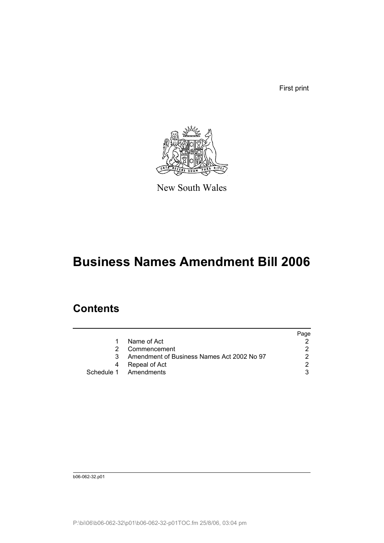First print



New South Wales

# **Business Names Amendment Bill 2006**

### **Contents**

|   |                                            | Page |
|---|--------------------------------------------|------|
|   | Name of Act                                |      |
|   | Commencement                               | 2    |
| 3 | Amendment of Business Names Act 2002 No 97 |      |
|   | Repeal of Act                              | 2    |
|   | Schedule 1 Amendments                      | 3    |

b06-062-32.p01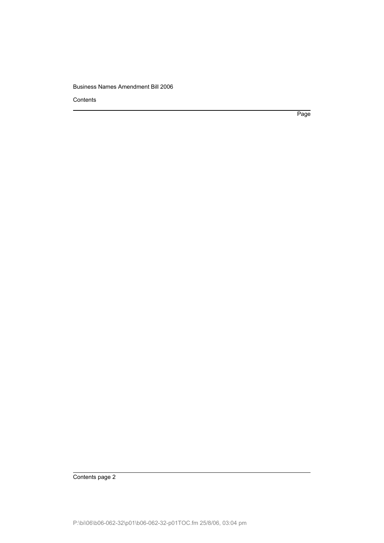**Contents** 

Page

Contents page 2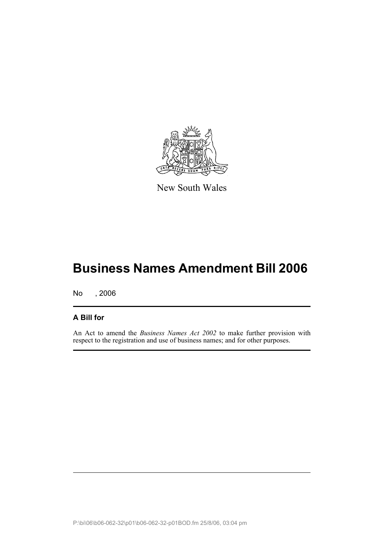

New South Wales

## **Business Names Amendment Bill 2006**

No , 2006

#### **A Bill for**

An Act to amend the *Business Names Act 2002* to make further provision with respect to the registration and use of business names; and for other purposes.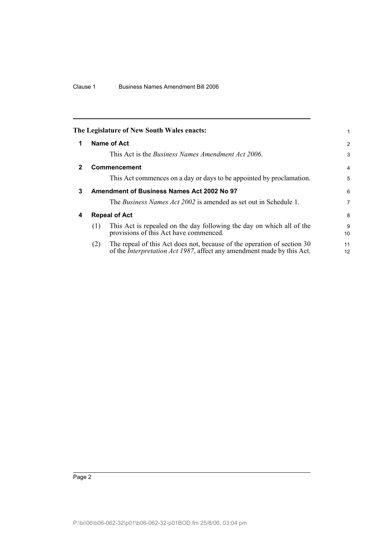<span id="page-5-3"></span><span id="page-5-2"></span><span id="page-5-1"></span><span id="page-5-0"></span>

|              |     | The Legislature of New South Wales enacts:                                                                                                                | 1              |
|--------------|-----|-----------------------------------------------------------------------------------------------------------------------------------------------------------|----------------|
| 1            |     | <b>Name of Act</b>                                                                                                                                        | 2              |
|              |     | This Act is the <i>Business Names Amendment Act 2006</i> .                                                                                                | 3              |
| $\mathbf{2}$ |     | Commencement                                                                                                                                              | $\overline{4}$ |
|              |     | This Act commences on a day or days to be appointed by proclamation.                                                                                      | 5              |
| 3            |     | Amendment of Business Names Act 2002 No 97                                                                                                                | 6              |
|              |     | The <i>Business Names Act 2002</i> is amended as set out in Schedule 1.                                                                                   | 7              |
| 4            |     | <b>Repeal of Act</b>                                                                                                                                      | 8              |
|              | (1) | This Act is repealed on the day following the day on which all of the<br>provisions of this Act have commenced.                                           | 9<br>10        |
|              | (2) | The repeal of this Act does not, because of the operation of section 30<br>of the <i>Interpretation Act 1987</i> , affect any amendment made by this Act. | 11<br>12       |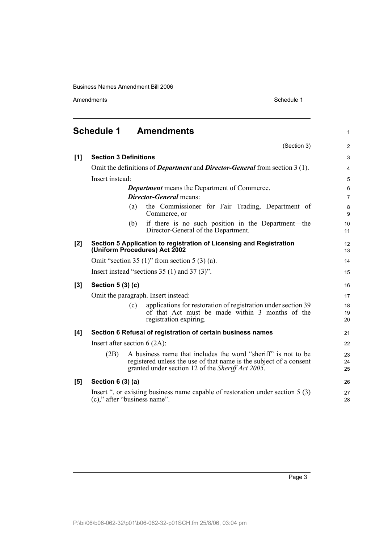Amendments Schedule 1

<span id="page-6-0"></span>

| <b>Schedule 1</b><br><b>Amendments</b> |                                                                                                                                                                                                  |                |  |
|----------------------------------------|--------------------------------------------------------------------------------------------------------------------------------------------------------------------------------------------------|----------------|--|
|                                        | (Section 3)                                                                                                                                                                                      | $\overline{2}$ |  |
| [1]                                    | <b>Section 3 Definitions</b>                                                                                                                                                                     | 3              |  |
|                                        | Omit the definitions of <i>Department</i> and <i>Director-General</i> from section 3 (1).                                                                                                        | $\overline{4}$ |  |
|                                        | Insert instead:                                                                                                                                                                                  | 5              |  |
|                                        | <b>Department</b> means the Department of Commerce.                                                                                                                                              | $6\phantom{1}$ |  |
|                                        | <b>Director-General</b> means:                                                                                                                                                                   | $\overline{7}$ |  |
|                                        | the Commissioner for Fair Trading, Department of<br>(a)<br>Commerce, or                                                                                                                          | 8<br>9         |  |
|                                        | if there is no such position in the Department—the<br>(b)<br>Director-General of the Department.                                                                                                 | 10<br>11       |  |
| [2]                                    | Section 5 Application to registration of Licensing and Registration<br>(Uniform Procedures) Act 2002                                                                                             | 12<br>13       |  |
|                                        | Omit "section 35 $(1)$ " from section 5 $(3)$ $(a)$ .                                                                                                                                            | 14             |  |
|                                        | Insert instead "sections $35(1)$ and $37(3)$ ".                                                                                                                                                  | 15             |  |
| [3]                                    | Section 5 (3) (c)                                                                                                                                                                                | 16             |  |
|                                        | Omit the paragraph. Insert instead:                                                                                                                                                              | 17             |  |
|                                        | applications for restoration of registration under section 39<br>(c)<br>of that Act must be made within 3 months of the<br>registration expiring.                                                | 18<br>19<br>20 |  |
| [4]                                    | Section 6 Refusal of registration of certain business names                                                                                                                                      | 21             |  |
|                                        | Insert after section $6(2A)$ :                                                                                                                                                                   |                |  |
|                                        | A business name that includes the word "sheriff" is not to be<br>(2B)<br>registered unless the use of that name is the subject of a consent<br>granted under section 12 of the Sheriff Act 2005. | 23<br>24<br>25 |  |
| [5]                                    | Section $6(3)(a)$                                                                                                                                                                                | 26             |  |
|                                        | Insert ", or existing business name capable of restoration under section 5 (3)<br>(c)," after "business name".                                                                                   | 27<br>28       |  |